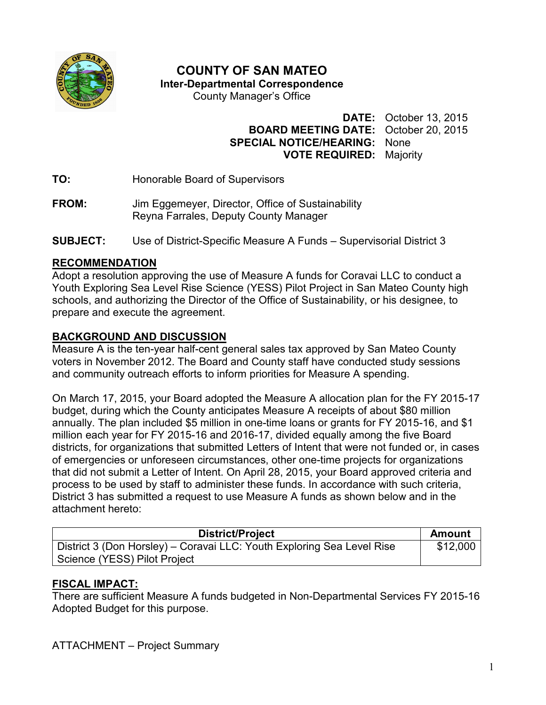

# **COUNTY OF SAN MATEO**

**Inter-Departmental Correspondence** 

County Manager's Office

**DATE:** October 13, 2015 **BOARD MEETING DATE:** October 20, 2015 **SPECIAL NOTICE/HEARING:** None **VOTE REQUIRED:** Majority

**TO:** Honorable Board of Supervisors

- **FROM:** Jim Eggemeyer, Director, Office of Sustainability Reyna Farrales, Deputy County Manager
- **SUBJECT:** Use of District-Specific Measure A Funds Supervisorial District 3

#### **RECOMMENDATION**

Adopt a resolution approving the use of Measure A funds for Coravai LLC to conduct a Youth Exploring Sea Level Rise Science (YESS) Pilot Project in San Mateo County high schools, and authorizing the Director of the Office of Sustainability, or his designee, to prepare and execute the agreement.

### **BACKGROUND AND DISCUSSION**

Measure A is the ten-year half-cent general sales tax approved by San Mateo County voters in November 2012. The Board and County staff have conducted study sessions and community outreach efforts to inform priorities for Measure A spending.

On March 17, 2015, your Board adopted the Measure A allocation plan for the FY 2015-17 budget, during which the County anticipates Measure A receipts of about \$80 million annually. The plan included \$5 million in one-time loans or grants for FY 2015-16, and \$1 million each year for FY 2015-16 and 2016-17, divided equally among the five Board districts, for organizations that submitted Letters of Intent that were not funded or, in cases of emergencies or unforeseen circumstances, other one-time projects for organizations that did not submit a Letter of Intent. On April 28, 2015, your Board approved criteria and process to be used by staff to administer these funds. In accordance with such criteria, District 3 has submitted a request to use Measure A funds as shown below and in the attachment hereto:

| District/Project                                                       | <b>Amount</b> |
|------------------------------------------------------------------------|---------------|
| District 3 (Don Horsley) – Coravai LLC: Youth Exploring Sea Level Rise | \$12,000      |
| Science (YESS) Pilot Project                                           |               |

## **FISCAL IMPACT:**

There are sufficient Measure A funds budgeted in Non-Departmental Services FY 2015-16 Adopted Budget for this purpose.